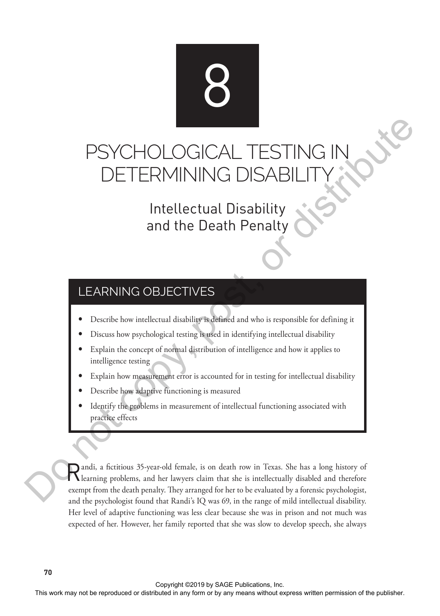

# PSYCHOLOGICAL TE DETERMINING DISA

Intellectual Disability and the Death Penalty

# LEARNING OBJECTIVES

- Describe how intellectual disability is defined and who is responsible for defining it
- Discuss how psychological testing is used in identifying intellectual disability
- Explain the concept of normal distribution of intelligence and how it applies to intelligence testing
- Explain how measurement error is accounted for in testing for intellectual disability
- Describe how adaptive functioning is measured
- Identify the problems in measurement of intellectual functioning associated with practice effects

andi, a fictitious 35-year-old female, is on death row in Texas. She has a long history of learning problems, and her lawyers claim that she is intellectually disabled and therefore exempt from the death penalty. They arranged for her to be evaluated by a forensic psychologist, and the psychologist found that Randi's IQ was 69, in the range of mild intellectual disability. Her level of adaptive functioning was less clear because she was in prison and not much was expected of her. However, her family reported that she was slow to develop speech, she always This work may not be reproduced or distribution of the reproduced or distributed in any means were produced in any means were produced in any means were problems with the set of the publisher. The publisher or the publishe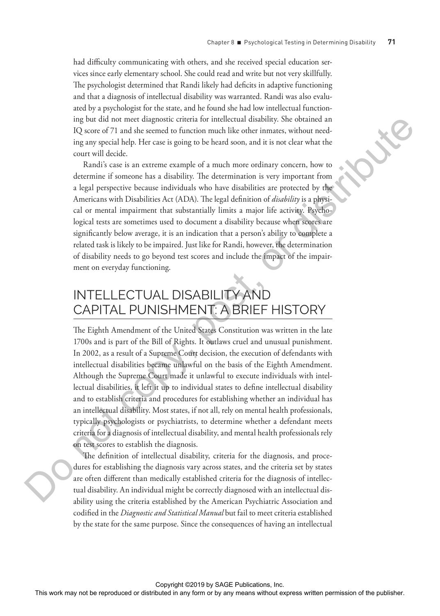had difficulty communicating with others, and she received special education services since early elementary school. She could read and write but not very skillfully. The psychologist determined that Randi likely had deficits in adaptive functioning and that a diagnosis of intellectual disability was warranted. Randi was also evaluated by a psychologist for the state, and he found she had low intellectual functioning but did not meet diagnostic criteria for intellectual disability. She obtained an IQ score of 71 and she seemed to function much like other inmates, without needing any special help. Her case is going to be heard soon, and it is not clear what the court will decide.

Randi's case is an extreme example of a much more ordinary concern, how to determine if someone has a disability. The determination is very important from a legal perspective because individuals who have disabilities are protected by the Americans with Disabilities Act (ADA). The legal definition of *disability* is a physical or mental impairment that substantially limits a major life activity. Psychological tests are sometimes used to document a disability because when scores are significantly below average, it is an indication that a person's ability to complete a related task is likely to be impaired. Just like for Randi, however, the determination of disability needs to go beyond test scores and include the impact of the impairment on everyday functioning.

# INTELLECTUAL DISABILITY AND CAPITAL PUNISHMENT: A BRIEF HISTORY

The Eighth Amendment of the United States Constitution was written in the late 1700s and is part of the Bill of Rights. It outlaws cruel and unusual punishment. In 2002, as a result of a Supreme Court decision, the execution of defendants with intellectual disabilities became unlawful on the basis of the Eighth Amendment. Although the Supreme Court made it unlawful to execute individuals with intellectual disabilities, it left it up to individual states to define intellectual disability and to establish criteria and procedures for establishing whether an individual has an intellectual disability. Most states, if not all, rely on mental health professionals, typically psychologists or psychiatrists, to determine whether a defendant meets criteria for a diagnosis of intellectual disability, and mental health professionals rely on test scores to establish the diagnosis. In the representation of the matrix and the matrix and the state of the representation of the representation of the representation of the state or the publisher. For any means were solved in any form of the publisher in a



The definition of intellectual disability, criteria for the diagnosis, and procedures for establishing the diagnosis vary across states, and the criteria set by states are often different than medically established criteria for the diagnosis of intellectual disability. An individual might be correctly diagnosed with an intellectual disability using the criteria established by the American Psychiatric Association and codified in the *Diagnostic and Statistical Manual* but fail to meet criteria established by the state for the same purpose. Since the consequences of having an intellectual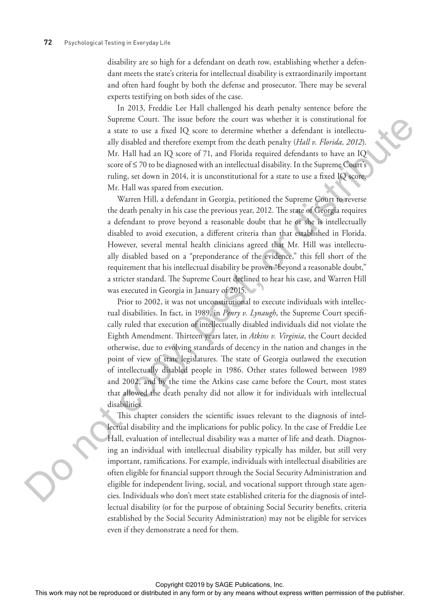disability are so high for a defendant on death row, establishing whether a defendant meets the state's criteria for intellectual disability is extraordinarily important and often hard fought by both the defense and prosecutor. There may be several experts testifying on both sides of the case.

In 2013, Freddie Lee Hall challenged his death penalty sentence before the Supreme Court. The issue before the court was whether it is constitutional for a state to use a fixed IQ score to determine whether a defendant is intellectually disabled and therefore exempt from the death penalty (*Hall v. Florida, 2012*). Mr. Hall had an IQ score of 71, and Florida required defendants to have an IQ score of ≤ 70 to be diagnosed with an intellectual disability. In the Supreme Court's ruling, set down in 2014, it is unconstitutional for a state to use a fixed IQ score. Mr. Hall was spared from execution.

Warren Hill, a defendant in Georgia, petitioned the Supreme Court to reverse the death penalty in his case the previous year, 2012. The state of Georgia requires a defendant to prove beyond a reasonable doubt that he or she is intellectually disabled to avoid execution, a different criteria than that established in Florida. However, several mental health clinicians agreed that Mr. Hill was intellectually disabled based on a "preponderance of the evidence," this fell short of the requirement that his intellectual disability be proven "beyond a reasonable doubt," a stricter standard. The Supreme Court declined to hear his case, and Warren Hill was executed in Georgia in January of 2015.

Prior to 2002, it was not unconstitutional to execute individuals with intellectual disabilities. In fact, in 1989, in *Penry v. Lynaugh*, the Supreme Court specifically ruled that execution of intellectually disabled individuals did not violate the Eighth Amendment. Thirteen years later, in *Atkins v. Virginia*, the Court decided otherwise, due to evolving standards of decency in the nation and changes in the point of view of state legislatures. The state of Georgia outlawed the execution of intellectually disabled people in 1986. Other states followed between 1989 and 2002, and by the time the Atkins case came before the Court, most states that allowed the death penalty did not allow it for individuals with intellectual disabilities.

This chapter considers the scientific issues relevant to the diagnosis of intellectual disability and the implications for public policy. In the case of Freddie Lee Hall, evaluation of intellectual disability was a matter of life and death. Diagnosing an individual with intellectual disability typically has milder, but still very important, ramifications. For example, individuals with intellectual disabilities are often eligible for financial support through the Social Security Administration and eligible for independent living, social, and vocational support through state agencies. Individuals who don't meet state established criteria for the diagnosis of intellectual disability (or for the purpose of obtaining Social Security benefits, criteria established by the Social Security Administration) may not be eligible for services even if they demonstrate a need for them. Suprame. Comes how becomes where the relations that is constituted for the relations cannot for the relations constrained in any form or between the publisher. Relation of the relations constrained in any form of the publ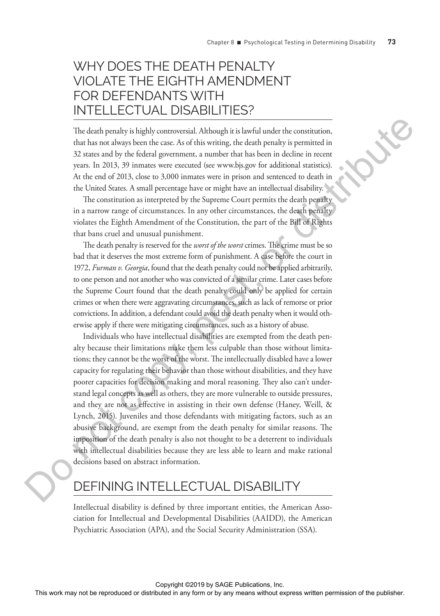# WHY DOES THE DEATH PENALTY VIOLATE THE EIGHTH AMENDMENT FOR DEFENDANTS WITH INTELLECTUAL DISABILITIES?

The death penalty is highly controversial. Although it is lawful under the constitution, that has not always been the case. As of this writing, the death penalty is permitted in 32 states and by the federal government, a number that has been in decline in recent years. In 2013, 39 inmates were executed (see www.bjs.gov for additional statistics). At the end of 2013, close to 3,000 inmates were in prison and sentenced to death in the United States. A small percentage have or might have an intellectual disability.

The constitution as interpreted by the Supreme Court permits the death penalty in a narrow range of circumstances. In any other circumstances, the death penalty violates the Eighth Amendment of the Constitution, the part of the Bill of Rights that bans cruel and unusual punishment.

The death penalty is reserved for the *worst of the worst* crimes. The crime must be so bad that it deserves the most extreme form of punishment. A case before the court in 1972, *Furman v. Georgia*, found that the death penalty could not be applied arbitrarily, to one person and not another who was convicted of a similar crime. Later cases before the Supreme Court found that the death penalty could only be applied for certain crimes or when there were aggravating circumstances, such as lack of remorse or prior convictions. In addition, a defendant could avoid the death penalty when it would otherwise apply if there were mitigating circumstances, such as a history of abuse.

Individuals who have intellectual disabilities are exempted from the death penalty because their limitations make them less culpable than those without limitations; they cannot be the worst of the worst. The intellectually disabled have a lower capacity for regulating their behavior than those without disabilities, and they have poorer capacities for decision making and moral reasoning. They also can't understand legal concepts as well as others, they are more vulnerable to outside pressures, and they are not as effective in assisting in their own defense (Haney, Weill, & Lynch, 2015). Juveniles and those defendants with mitigating factors, such as an abusive background, are exempt from the death penalty for similar reasons. The imposition of the death penalty is also not thought to be a deterrent to individuals with intellectual disabilities because they are less able to learn and make rational decisions based on abstract information. The death penalty is bigably contescential. Although it is inset<br>in the representive or the resp. As of the written the resp. As one been<br>the prediction of the content of the content or distributed in any means were<br>stati

## DEFINING INTELLECTUAL DISABILITY

Intellectual disability is defined by three important entities, the American Association for Intellectual and Developmental Disabilities (AAIDD), the American Psychiatric Association (APA), and the Social Security Administration (SSA).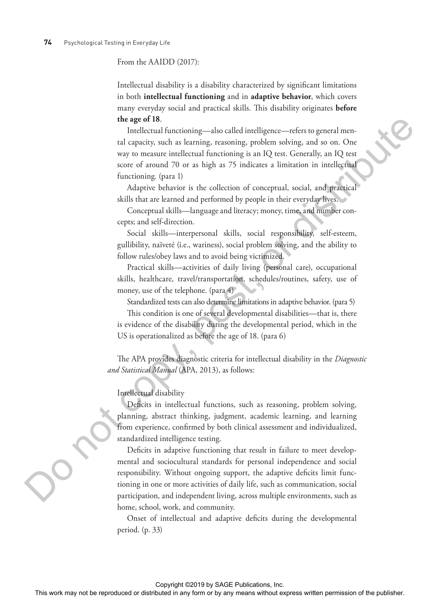#### From the AAIDD (2017):

Intellectual disability is a disability characterized by significant limitations in both **intellectual functioning** and in **adaptive behavior**, which covers many everyday social and practical skills. This disability originates **before the age of 18**.

Intellectual functioning—also called intelligence—refers to general mental capacity, such as learning, reasoning, problem solving, and so on. One way to measure intellectual functioning is an IQ test. Generally, an IQ test score of around 70 or as high as 75 indicates a limitation in intellectual functioning. (para 1)

Adaptive behavior is the collection of conceptual, social, and practical skills that are learned and performed by people in their everyday lives.

Conceptual skills—language and literacy; money, time, and number concepts; and self-direction.

Social skills—interpersonal skills, social responsibility, self-esteem, gullibility, naïveté (i.e., wariness), social problem solving, and the ability to follow rules/obey laws and to avoid being victimized.

Practical skills—activities of daily living (personal care), occupational skills, healthcare, travel/transportation, schedules/routines, safety, use of money, use of the telephone. (para 4)

Standardized tests can also determine limitations in adaptive behavior. (para 5)

This condition is one of several developmental disabilities—that is, there is evidence of the disability during the developmental period, which in the US is operationalized as before the age of 18. (para 6)

The APA provides diagnostic criteria for intellectual disability in the *Diagnostic and Statistical Manual* (APA, 2013), as follows:

#### Intellectual disability

Deficits in intellectual functions, such as reasoning, problem solving, planning, abstract thinking, judgment, academic learning, and learning from experience, confirmed by both clinical assessment and individualized, standardized intelligence testing.

Deficits in adaptive functioning that result in failure to meet developmental and sociocultural standards for personal independence and social responsibility. Without ongoing support, the adaptive deficits limit functioning in one or more activities of daily life, such as communication, social participation, and independent living, across multiple environments, such as home, school, work, and community. **Under the representation** of the representation of the representation of the publisher. The reproduced or distributed in a set of the publisher. The representation of the publisher of the publisher. Set of the publisher

Onset of intellectual and adaptive deficits during the developmental period. (p. 33)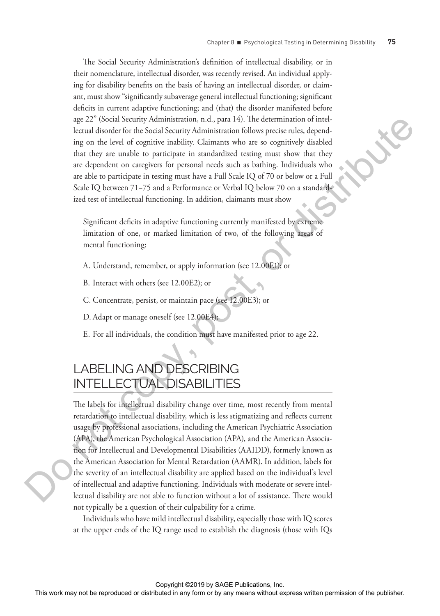The Social Security Administration's definition of intellectual disability, or in their nomenclature, intellectual disorder, was recently revised. An individual applying for disability benefits on the basis of having an intellectual disorder, or claimant, must show "significantly subaverage general intellectual functioning; significant deficits in current adaptive functioning; and (that) the disorder manifested before age 22" (Social Security Administration, n.d., para 14). The determination of intellectual disorder for the Social Security Administration follows precise rules, depending on the level of cognitive inability. Claimants who are so cognitively disabled that they are unable to participate in standardized testing must show that they are dependent on caregivers for personal needs such as bathing. Individuals who are able to participate in testing must have a Full Scale IQ of 70 or below or a Full Scale IQ between 71−75 and a Performance or Verbal IQ below 70 on a standardized test of intellectual functioning. In addition, claimants must show

Significant deficits in adaptive functioning currently manifested by extreme limitation of one, or marked limitation of two, of the following areas of mental functioning:

- A. Understand, remember, or apply information (see 12.00E1); or
- B. Interact with others (see 12.00E2); or
- C. Concentrate, persist, or maintain pace (see 12.00E3); or
- D. Adapt or manage oneself (see 12.00E4);
- E. For all individuals, the condition must have manifested prior to age 22.

# LABELING AND DESCRIBING INTELLECTUAL DISABILITIES

The labels for intellectual disability change over time, most recently from mental retardation to intellectual disability, which is less stigmatizing and reflects current usage by professional associations, including the American Psychiatric Association (APA), the American Psychological Association (APA), and the American Association for Intellectual and Developmental Disabilities (AAIDD), formerly known as the American Association for Mental Retardation (AAMR). In addition, labels for the severity of an intellectual disability are applied based on the individual's level of intellectual and adaptive functioning. Individuals with moderate or severe intellectual disability are not able to function without a lot of assistance. There would not typically be a question of their culpability for a crime. This is a complete that the reproduced or distributed in any the reproduced or distributed in any means when the reproduced or the representation of the representation of the publisher. The representation of the publisher

Individuals who have mild intellectual disability, especially those with IQ scores at the upper ends of the IQ range used to establish the diagnosis (those with IQs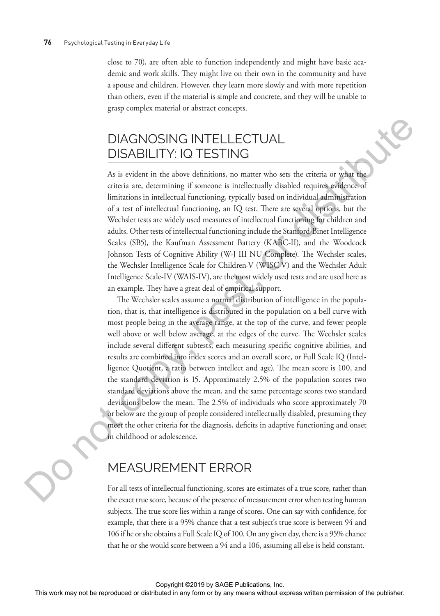close to 70), are often able to function independently and might have basic academic and work skills. They might live on their own in the community and have a spouse and children. However, they learn more slowly and with more repetition than others, even if the material is simple and concrete, and they will be unable to grasp complex material or abstract concepts.

# DIAGNOSING INTELLECTUAL DISABILITY: IQ TESTING

As is evident in the above definitions, no matter who sets the criteria or what the criteria are, determining if someone is intellectually disabled requires evidence of limitations in intellectual functioning, typically based on individual administration of a test of intellectual functioning, an IQ test. There are several options, but the Wechsler tests are widely used measures of intellectual functioning for children and adults. Other tests of intellectual functioning include the Stanford-Binet Intelligence Scales (SB5), the Kaufman Assessment Battery (KABC-II), and the Woodcock Johnson Tests of Cognitive Ability (W-J III NU Complete). The Wechsler scales, the Wechsler Intelligence Scale for Children-V (WISC-V) and the Wechsler Adult Intelligence Scale-IV (WAIS-IV), are the most widely used tests and are used here as an example. They have a great deal of empirical support.

The Wechsler scales assume a normal distribution of intelligence in the population, that is, that intelligence is distributed in the population on a bell curve with most people being in the average range, at the top of the curve, and fewer people well above or well below average, at the edges of the curve. The Wechsler scales include several different subtests, each measuring specific cognitive abilities, and results are combined into index scores and an overall score, or Full Scale IQ (Intelligence Quotient, a ratio between intellect and age). The mean score is 100, and the standard deviation is 15. Approximately 2.5% of the population scores two standard deviations above the mean, and the same percentage scores two standard deviations below the mean. The 2.5% of individuals who score approximately 70 or below are the group of people considered intellectually disabled, presuming they meet the other criteria for the diagnosis, deficits in adaptive functioning and onset in childhood or adolescence. DIAGNOSING INTELLECTUAL<br>
DISABILITY: IQTESTING<br>
As is evident in the above distributions, no matter vision the threaties may not<br>interimal permission in any form or butted in the publisher may include<br>the publisher or dis

# MEASUREMENT ERROR

For all tests of intellectual functioning, scores are estimates of a true score, rather than the exact true score, because of the presence of measurement error when testing human subjects. The true score lies within a range of scores. One can say with confidence, for example, that there is a 95% chance that a test subject's true score is between 94 and 106 if he or she obtains a Full Scale IQ of 100. On any given day, there is a 95% chance that he or she would score between a 94 and a 106, assuming all else is held constant.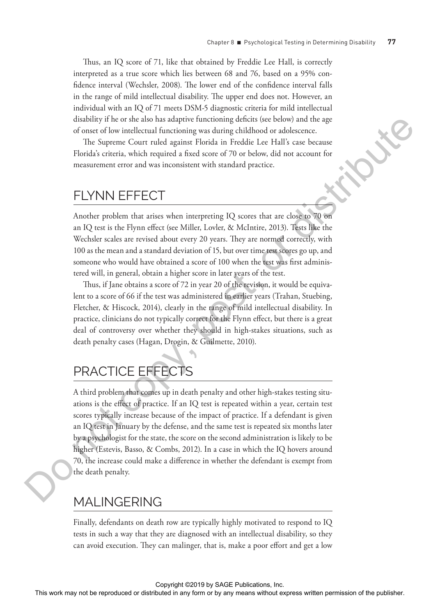Thus, an IQ score of 71, like that obtained by Freddie Lee Hall, is correctly interpreted as a true score which lies between 68 and 76, based on a 95% confidence interval (Wechsler, 2008). The lower end of the confidence interval falls in the range of mild intellectual disability. The upper end does not. However, an individual with an IQ of 71 meets DSM-5 diagnostic criteria for mild intellectual disability if he or she also has adaptive functioning deficits (see below) and the age of onset of low intellectual functioning was during childhood or adolescence.

The Supreme Court ruled against Florida in Freddie Lee Hall's case because Florida's criteria, which required a fixed score of 70 or below, did not account for measurement error and was inconsistent with standard practice.

### FLYNN EFFECT

Another problem that arises when interpreting IQ scores that are close to 70 on an IQ test is the Flynn effect (see Miller, Lovler, & McIntire, 2013). Tests like the Wechsler scales are revised about every 20 years. They are normed correctly, with 100 as the mean and a standard deviation of 15, but over time test scores go up, and someone who would have obtained a score of 100 when the test was first administered will, in general, obtain a higher score in later years of the test.

Thus, if Jane obtains a score of 72 in year 20 of the revision, it would be equivalent to a score of 66 if the test was administered in earlier years (Trahan, Stuebing, Fletcher, & Hiscock, 2014), clearly in the range of mild intellectual disability. In practice, clinicians do not typically correct for the Flynn effect, but there is a great deal of controversy over whether they should in high-stakes situations, such as death penalty cases (Hagan, Drogin, & Guilmette, 2010).

# PRACTICE EFFECTS

A third problem that comes up in death penalty and other high-stakes testing situations is the effect of practice. If an IQ test is repeated within a year, certain test scores typically increase because of the impact of practice. If a defendant is given an IQ test in January by the defense, and the same test is repeated six months later by a psychologist for the state, the score on the second administration is likely to be higher (Estevis, Basso, & Combs, 2012). In a case in which the IQ hovers around 70, the increase could make a difference in whether the defendant is exempt from the death penalty. distributed in the relation between the relation in the relation (section) to the relation or distributed in any form or the same of The Superno Control taking in Erich in Franklin (see Figure ). The same the means were r

## MALINGERING

Finally, defendants on death row are typically highly motivated to respond to IQ tests in such a way that they are diagnosed with an intellectual disability, so they can avoid execution. They can malinger, that is, make a poor effort and get a low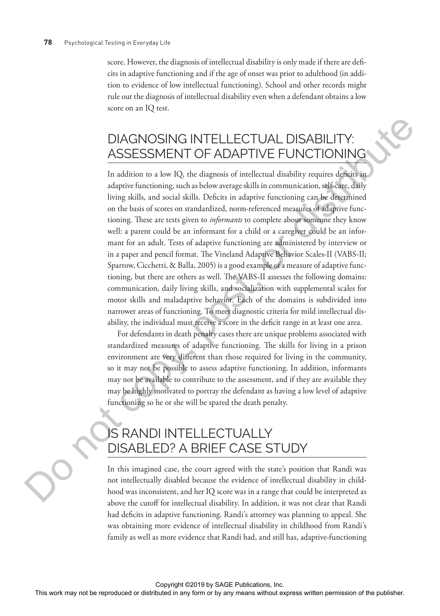score. However, the diagnosis of intellectual disability is only made if there are deficits in adaptive functioning and if the age of onset was prior to adulthood (in addition to evidence of low intellectual functioning). School and other records might rule out the diagnosis of intellectual disability even when a defendant obtains a low score on an IQ test.

# DIAGNOSING INTELLECTUAL DISABILITY: ASSESSMENT OF ADAPTIVE FUNCTIONING

In addition to a low IQ, the diagnosis of intellectual disability requires deficits in adaptive functioning, such as below average skills in communication, self-care, daily living skills, and social skills. Deficits in adaptive functioning can be determined on the basis of scores on standardized, norm-referenced measures of adaptive functioning. These are tests given to *informants* to complete about someone they know well: a parent could be an informant for a child or a caregiver could be an informant for an adult. Tests of adaptive functioning are administered by interview or in a paper and pencil format. The Vineland Adaptive Behavior Scales-II (VABS-II; Sparrow, Cicchetti, & Balla, 2005) is a good example of a measure of adaptive functioning, but there are others as well. The VABS-II assesses the following domains: communication, daily living skills, and socialization with supplemental scales for motor skills and maladaptive behavior. Each of the domains is subdivided into narrower areas of functioning. To meet diagnostic criteria for mild intellectual disability, the individual must receive a score in the deficit range in at least one area. This method is a state of the repression of the representation or the representation or a state of the reproduced or distributed in any means where the representation of the publisher line and in a state was not be repress

For defendants in death penalty cases there are unique problems associated with standardized measures of adaptive functioning. The skills for living in a prison environment are very different than those required for living in the community, so it may not be possible to assess adaptive functioning. In addition, informants may not be available to contribute to the assessment, and if they are available they may be highly motivated to portray the defendant as having a low level of adaptive functioning so he or she will be spared the death penalty.

# IS RANDI INTELLECTUALLY DISABLED? A BRIEF CASE STUDY

In this imagined case, the court agreed with the state's position that Randi was not intellectually disabled because the evidence of intellectual disability in childhood was inconsistent, and her IQ score was in a range that could be interpreted as above the cutoff for intellectual disability. In addition, it was not clear that Randi had deficits in adaptive functioning. Randi's attorney was planning to appeal. She was obtaining more evidence of intellectual disability in childhood from Randi's family as well as more evidence that Randi had, and still has, adaptive-functioning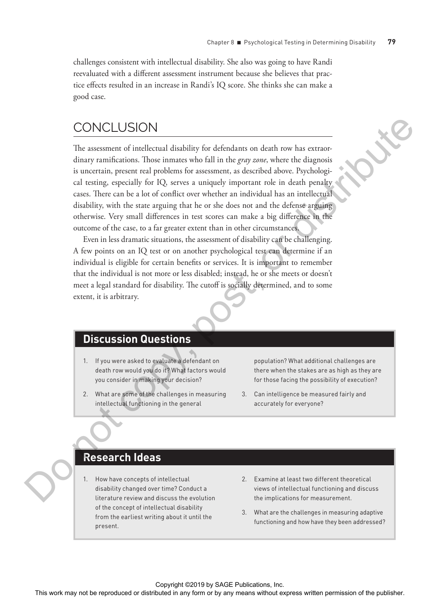challenges consistent with intellectual disability. She also was going to have Randi reevaluated with a different assessment instrument because she believes that practice effects resulted in an increase in Randi's IQ score. She thinks she can make a good case.

# **CONCLUSION**

The assessment of intellectual disability for defendants on death row has extraordinary ramifications. Those inmates who fall in the *gray zone*, where the diagnosis is uncertain, present real problems for assessment, as described above. Psychological testing, especially for IQ, serves a uniquely important role in death penalty cases. There can be a lot of conflict over whether an individual has an intellectual disability, with the state arguing that he or she does not and the defense arguing otherwise. Very small differences in test scores can make a big difference in the outcome of the case, to a far greater extent than in other circumstances. CONCLUSION<br>
The assessment of involunced distribute for distribution on distributed ideo-<br>
in any non-finitential control in any form or by any means when the distributed in any permission of the publisher.<br>
in any permis

Even in less dramatic situations, the assessment of disability can be challenging. A few points on an IQ test or on another psychological test can determine if an individual is eligible for certain benefits or services. It is important to remember that the individual is not more or less disabled; instead, he or she meets or doesn't meet a legal standard for disability. The cutoff is socially determined, and to some extent, it is arbitrary.

#### **Discussion Questions**

- 1. If you were asked to evaluate a defendant on death row would you do it? What factors would you consider in making your decision?
- 2. What are some of the challenges in measuring intellectual functioning in the general

population? What additional challenges are there when the stakes are as high as they are for those facing the possibility of execution?

3. Can intelligence be measured fairly and accurately for everyone?

#### **Research Ideas**

- 1. How have concepts of intellectual disability changed over time? Conduct a literature review and discuss the evolution of the concept of intellectual disability from the earliest writing about it until the present.
- 2. Examine at least two different theoretical views of intellectual functioning and discuss the implications for measurement.
- 3. What are the challenges in measuring adaptive functioning and how have they been addressed?